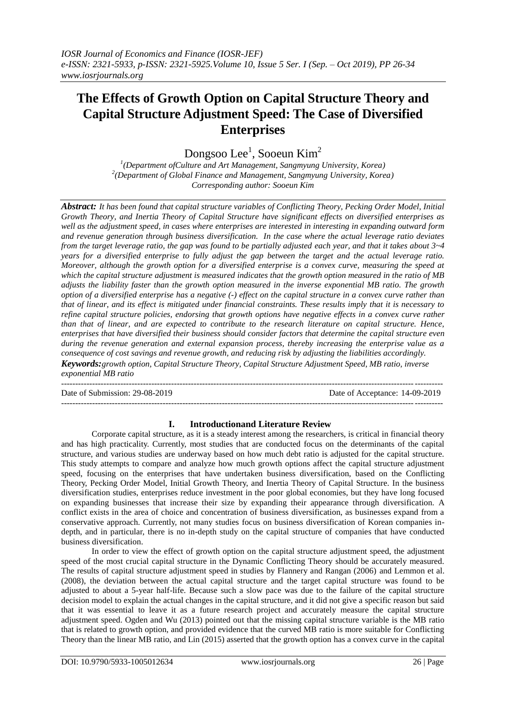# **The Effects of Growth Option on Capital Structure Theory and Capital Structure Adjustment Speed: The Case of Diversified Enterprises**

Dongsoo Lee<sup>1</sup>, Sooeun Kim<sup>2</sup>

*1 (Department ofCulture and Art Management, Sangmyung University, Korea) 2 (Department of Global Finance and Management, Sangmyung University, Korea) Corresponding author: Sooeun Kim*

*Abstract: It has been found that capital structure variables of Conflicting Theory, Pecking Order Model, Initial Growth Theory, and Inertia Theory of Capital Structure have significant effects on diversified enterprises as well as the adjustment speed, in cases where enterprises are interested in interesting in expanding outward form and revenue generation through business diversification. In the case where the actual leverage ratio deviates from the target leverage ratio, the gap was found to be partially adjusted each year, and that it takes about 3~4 years for a diversified enterprise to fully adjust the gap between the target and the actual leverage ratio. Moreover, although the growth option for a diversified enterprise is a convex curve, measuring the speed at which the capital structure adjustment is measured indicates that the growth option measured in the ratio of MB adjusts the liability faster than the growth option measured in the inverse exponential MB ratio. The growth option of a diversified enterprise has a negative (-) effect on the capital structure in a convex curve rather than that of linear, and its effect is mitigated under financial constraints. These results imply that it is necessary to refine capital structure policies, endorsing that growth options have negative effects in a convex curve rather than that of linear, and are expected to contribute to the research literature on capital structure. Hence, enterprises that have diversified their business should consider factors that determine the capital structure even during the revenue generation and external expansion process, thereby increasing the enterprise value as a consequence of cost savings and revenue growth, and reducing risk by adjusting the liabilities accordingly.*

*Keywords:growth option, Capital Structure Theory, Capital Structure Adjustment Speed, MB ratio, inverse exponential MB ratio*

---------------------------------------------------------------------------------------------------------------------------------------

--------------------------------------------------------------------------------------------------------------------------------------- Date of Submission: 29-08-2019 Date of Acceptance: 14-09-2019

## **I. Introductionand Literature Review**

Corporate capital structure, as it is a steady interest among the researchers, is critical in financial theory and has high practicality. Currently, most studies that are conducted focus on the determinants of the capital structure, and various studies are underway based on how much debt ratio is adjusted for the capital structure. This study attempts to compare and analyze how much growth options affect the capital structure adjustment speed, focusing on the enterprises that have undertaken business diversification, based on the Conflicting Theory, Pecking Order Model, Initial Growth Theory, and Inertia Theory of Capital Structure. In the business diversification studies, enterprises reduce investment in the poor global economies, but they have long focused on expanding businesses that increase their size by expanding their appearance through diversification. A conflict exists in the area of choice and concentration of business diversification, as businesses expand from a conservative approach. Currently, not many studies focus on business diversification of Korean companies indepth, and in particular, there is no in-depth study on the capital structure of companies that have conducted business diversification.

In order to view the effect of growth option on the capital structure adjustment speed, the adjustment speed of the most crucial capital structure in the Dynamic Conflicting Theory should be accurately measured. The results of capital structure adjustment speed in studies by Flannery and Rangan (2006) and Lemmon et al. (2008), the deviation between the actual capital structure and the target capital structure was found to be adjusted to about a 5-year half-life. Because such a slow pace was due to the failure of the capital structure decision model to explain the actual changes in the capital structure, and it did not give a specific reason but said that it was essential to leave it as a future research project and accurately measure the capital structure adjustment speed. Ogden and Wu (2013) pointed out that the missing capital structure variable is the MB ratio that is related to growth option, and provided evidence that the curved MB ratio is more suitable for Conflicting Theory than the linear MB ratio, and Lin (2015) asserted that the growth option has a convex curve in the capital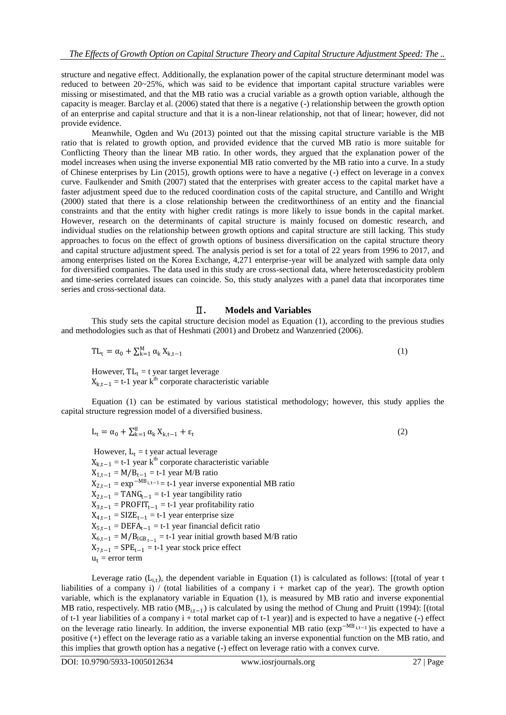structure and negative effect. Additionally, the explanation power of the capital structure determinant model was reduced to between 20~25%, which was said to be evidence that important capital structure variables were missing or misestimated, and that the MB ratio was a crucial variable as a growth option variable, although the capacity is meager. Barclay et al. (2006) stated that there is a negative (-) relationship between the growth option of an enterprise and capital structure and that it is a non-linear relationship, not that of linear; however, did not provide evidence.

Meanwhile, Ogden and Wu (2013) pointed out that the missing capital structure variable is the MB ratio that is related to growth option, and provided evidence that the curved MB ratio is more suitable for Conflicting Theory than the linear MB ratio. In other words, they argued that the explanation power of the model increases when using the inverse exponential MB ratio converted by the MB ratio into a curve. In a study of Chinese enterprises by Lin (2015), growth options were to have a negative (-) effect on leverage in a convex curve. Faulkender and Smith (2007) stated that the enterprises with greater access to the capital market have a faster adjustment speed due to the reduced coordination costs of the capital structure, and Cantillo and Wright (2000) stated that there is a close relationship between the creditworthiness of an entity and the financial constraints and that the entity with higher credit ratings is more likely to issue bonds in the capital market. However, research on the determinants of capital structure is mainly focused on domestic research, and individual studies on the relationship between growth options and capital structure are still lacking. This study approaches to focus on the effect of growth options of business diversification on the capital structure theory and capital structure adjustment speed. The analysis period is set for a total of 22 years from 1996 to 2017, and among enterprises listed on the Korea Exchange, 4,271 enterprise-year will be analyzed with sample data only for diversified companies. The data used in this study are cross-sectional data, where heteroscedasticity problem and time-series correlated issues can coincide. So, this study analyzes with a panel data that incorporates time series and cross-sectional data.

### Ⅱ**. Models and Variables**

This study sets the capital structure decision model as Equation (1), according to the previous studies and methodologies such as that of Heshmati (2001) and Drobetz and Wanzenried (2006).

$$
TL_t = \alpha_0 + \sum_{k=1}^{M} \alpha_k X_{k,t-1}
$$
 (1)

However,  $TL_t = t$  year target leverage  $X_{k,t-1} = t-1$  year k<sup>th</sup> corporate characteristic variable

Equation (1) can be estimated by various statistical methodology; however, this study applies the capital structure regression model of a diversified business.

$$
L_t = \alpha_0 + \sum_{k=1}^8 \alpha_k X_{k,t-1} + \varepsilon_t
$$
\n<sup>(2)</sup>

However,  $L_t = t$  year actual leverage  $X_{k,t-1} = t-1$  year k<sup>th</sup> corporate characteristic variable  $X_{1,t-1} = M/B_{t-1} = t-1$  year M/B ratio  $X_{2,t-1} = \exp^{-MB_{i,t-1}} = t-1$  year inverse exponential MB ratio  $X_{2,t-1}$  = TANG<sub>t−1</sub> = t-1 year tangibility ratio  $X_{3,t-1} = \text{PROFIT}_{t-1} = t-1$  year profitability ratio  $X_{4,t-1} = SIZE_{t-1} = t-1$  year enterprise size  $X_{5,t-1} = \text{DEFA}_{t-1} = t-1$  year financial deficit ratio  $X_{6,t-1} = M/B_{IGB_{t-1}} = t-1$  year initial growth based M/B ratio  $X_{7,t-1}$  = SPE<sub>t−1</sub> = t-1 year stock price effect  $u_t$  = error term

Leverage ratio  $(L_{i,t})$ , the dependent variable in Equation (1) is calculated as follows: [(total of year t liabilities of a company i) / (total liabilities of a company i + market cap of the year). The growth option variable, which is the explanatory variable in Equation (1), is measured by MB ratio and inverse exponential MB ratio, respectively. MB ratio (MB<sub>i,t−1</sub>) is calculated by using the method of Chung and Pruitt (1994): [(total of t-1 year liabilities of a company  $i +$  total market cap of t-1 year)] and is expected to have a negative (-) effect on the leverage ratio linearly. In addition, the inverse exponential MB ratio (exp<sup>−</sup>MB i,t−<sup>1</sup> )is expected to have a positive (+) effect on the leverage ratio as a variable taking an inverse exponential function on the MB ratio, and this implies that growth option has a negative (-) effect on leverage ratio with a convex curve.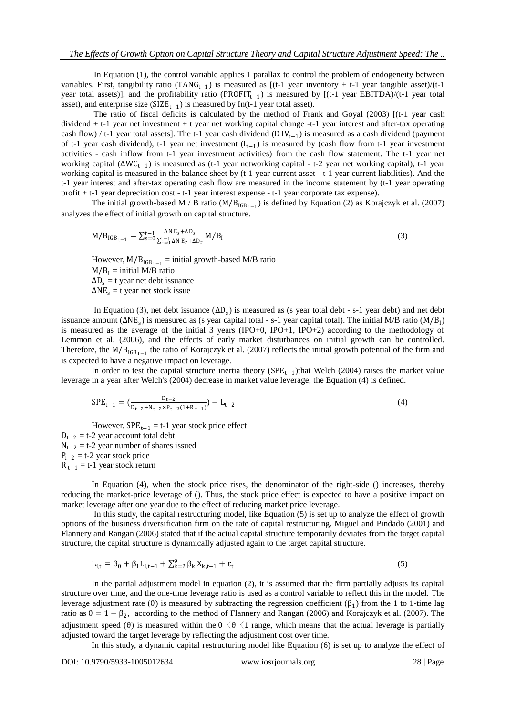In Equation (1), the control variable applies 1 parallax to control the problem of endogeneity between variables. First, tangibility ratio (TANG<sub>t−1</sub>) is measured as [(t-1 year inventory + t-1 year tangible asset)/(t-1 year total assets)], and the profitability ratio (PROFIT<sub>t−1</sub>) is measured by [(t-1 year EBITDA)/(t-1 year total asset), and enterprise size  $(SIZE_{t-1})$  is measured by In(t-1 year total asset).

The ratio of fiscal deficits is calculated by the method of Frank and Goyal (2003) [(t-1 year cash dividend + t-1 year net investment + t year net working capital change -t-1 year interest and after-tax operating cash flow) / t-1 year total assets]. The t-1 year cash dividend (D  $IV_{t-1}$ ) is measured as a cash dividend (payment of t-1 year cash dividend), t-1 year net investment  $(I_{t-1})$  is measured by (cash flow from t-1 year investment activities - cash inflow from t-1 year investment activities) from the cash flow statement. The t-1 year net working capital (ΔWC<sub>t−1</sub>) is measured as (t-1 year networking capital - t-2 year net working capital), t-1 year working capital is measured in the balance sheet by (t-1 year current asset - t-1 year current liabilities). And the t-1 year interest and after-tax operating cash flow are measured in the income statement by (t-1 year operating profit + t-1 year depreciation cost - t-1 year interest expense - t-1 year corporate tax expense).

The initial growth-based M / B ratio ( $M/B_{IGB_{t-1}}$ ) is defined by Equation (2) as Korajczyk et al. (2007) analyzes the effect of initial growth on capital structure.

$$
M/B_{IGB_{t-1}} = \sum_{s=0}^{t-1} \frac{\Delta N E_s + \Delta D_s}{\sum_{r=0}^{t-1} \Delta N E_r + \Delta D_r} M/B_I
$$
\n(3)

However,  $M/B_{IGB_{t-1}}$  = initial growth-based M/B ratio  $M/B<sub>I</sub>$  = initial M/B ratio  $\Delta D_s$  = t year net debt issuance  $\Delta NE_s = t$  year net stock issue

In Equation (3), net debt issuance  $(\Delta D_s)$  is measured as (s year total debt - s-1 year debt) and net debt issuance amount  $(\Delta NE_s)$  is measured as (s year capital total - s-1 year capital total). The initial M/B ratio (M/B<sub>I</sub>) is measured as the average of the initial 3 years (IPO+0, IPO+1, IPO+2) according to the methodology of Lemmon et al. (2006), and the effects of early market disturbances on initial growth can be controlled. Therefore, the M/B<sub>IGB t−1</sub> the ratio of Korajczyk et al. (2007) reflects the initial growth potential of the firm and is expected to have a negative impact on leverage.

In order to test the capital structure inertia theory ( $SPE_{t-1}$ )that Welch (2004) raises the market value leverage in a year after Welch's (2004) decrease in market value leverage, the Equation (4) is defined.

$$
SPE_{t-1} = \left( \frac{D_{t-2}}{D_{t-2} + N_{t-2} \times P_{t-2} (1 + R_{t-1})} \right) - L_{t-2}
$$
\n
$$
(4)
$$

However,  $SPE_{t-1} = t-1$  year stock price effect  $D_{t-2}$  = t-2 year account total debt  $N_{t-2}$  = t-2 year number of shares issued  $P_{t-2}$  = t-2 year stock price  $R_{t-1} = t-1$  year stock return

In Equation (4), when the stock price rises, the denominator of the right-side () increases, thereby reducing the market-price leverage of (). Thus, the stock price effect is expected to have a positive impact on market leverage after one year due to the effect of reducing market price leverage.

In this study, the capital restructuring model, like Equation (5) is set up to analyze the effect of growth options of the business diversification firm on the rate of capital restructuring. Miguel and Pindado (2001) and Flannery and Rangan (2006) stated that if the actual capital structure temporarily deviates from the target capital structure, the capital structure is dynamically adjusted again to the target capital structure.

$$
L_{i,t} = \beta_0 + \beta_1 L_{i,t-1} + \sum_{k=2}^{9} \beta_k X_{k,t-1} + \varepsilon_t
$$
 (5)

In the partial adjustment model in equation (2), it is assumed that the firm partially adjusts its capital structure over time, and the one-time leverage ratio is used as a control variable to reflect this in the model. The leverage adjustment rate ( $\theta$ ) is measured by subtracting the regression coefficient ( $\beta_1$ ) from the 1 to 1-time lag ratio as  $\theta = 1 - \beta_2$ , according to the method of Flannery and Rangan (2006) and Korajczyk et al. (2007). The adjustment speed (θ) is measured within the  $0 \le \theta \le 1$  range, which means that the actual leverage is partially adjusted toward the target leverage by reflecting the adjustment cost over time.

In this study, a dynamic capital restructuring model like Equation (6) is set up to analyze the effect of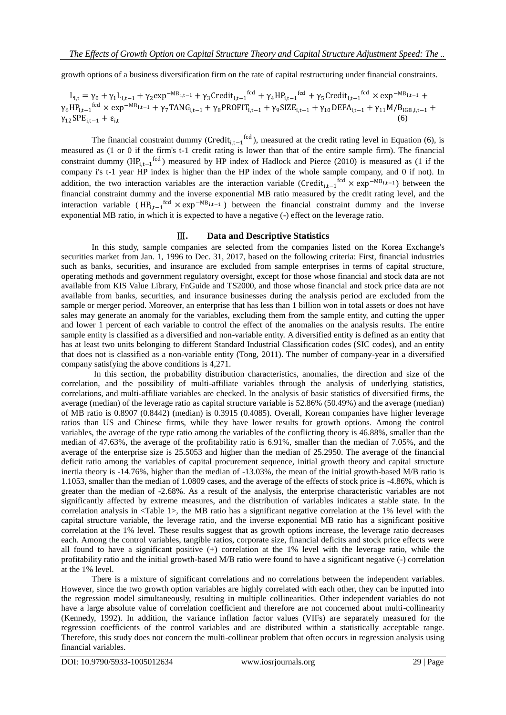growth options of a business diversification firm on the rate of capital restructuring under financial constraints.

 $L_{i,t} = γ_0 + γ_1 L_{i,t-1} + γ_2 exp^{-MB_{i,t-1}} + γ_3 Credit_{i,t-1}^{tcd} + γ_4 HP_{i,t-1}^{tcd} + γ_5 Credit_{i,t-1}^{tcd} × exp^{-MB_{i,t-1}} +$  $\gamma_6 H_{i,t-1}^{\text{fcd}} \times \exp^{-MB_{i,t-1}} + \gamma_7 T ANG_{i,t-1} + \gamma_8 P ROFIT_{i,t-1} + \gamma_9 SIZE_{i,t-1} + \gamma_{10} DEFA_{i,t-1} + \gamma_{11} M/B_{IGB,i,t-1} +$  $\gamma_{12}$ SPE<sub>i.t−1</sub> +  $\varepsilon_{i,t}$ (6)

The financial constraint dummy (Credit<sub>i,t−1</sub><sup>fcd</sup>), measured at the credit rating level in Equation (6), is measured as (1 or 0 if the firm's t-1 credit rating is lower than that of the entire sample firm). The financial constraint dummy  $(HP_{i,t-1}^{fcd})$  measured by HP index of Hadlock and Pierce (2010) is measured as (1 if the company i's t-1 year HP index is higher than the HP index of the whole sample company, and 0 if not). In addition, the two interaction variables are the interaction variable (Credit<sub>i,t−1</sub><sup>fcd</sup> × exp<sup>−MB</sup><sub>i,t−1</sub>) between the financial constraint dummy and the inverse exponential MB ratio measured by the credit rating level, and the interaction variable ( $HP_{i,t-1}^{fcd} \times exp^{-MB_{i,t-1}}$ ) between the financial constraint dummy and the inverse exponential MB ratio, in which it is expected to have a negative (-) effect on the leverage ratio.

### Ⅲ**. Data and Descriptive Statistics**

In this study, sample companies are selected from the companies listed on the Korea Exchange's securities market from Jan. 1, 1996 to Dec. 31, 2017, based on the following criteria: First, financial industries such as banks, securities, and insurance are excluded from sample enterprises in terms of capital structure, operating methods and government regulatory oversight, except for those whose financial and stock data are not available from KIS Value Library, FnGuide and TS2000, and those whose financial and stock price data are not available from banks, securities, and insurance businesses during the analysis period are excluded from the sample or merger period. Moreover, an enterprise that has less than 1 billion won in total assets or does not have sales may generate an anomaly for the variables, excluding them from the sample entity, and cutting the upper and lower 1 percent of each variable to control the effect of the anomalies on the analysis results. The entire sample entity is classified as a diversified and non-variable entity. A diversified entity is defined as an entity that has at least two units belonging to different Standard Industrial Classification codes (SIC codes), and an entity that does not is classified as a non-variable entity (Tong, 2011). The number of company-year in a diversified company satisfying the above conditions is 4,271.

In this section, the probability distribution characteristics, anomalies, the direction and size of the correlation, and the possibility of multi-affiliate variables through the analysis of underlying statistics, correlations, and multi-affiliate variables are checked. In the analysis of basic statistics of diversified firms, the average (median) of the leverage ratio as capital structure variable is 52.86% (50.49%) and the average (median) of MB ratio is 0.8907 (0.8442) (median) is 0.3915 (0.4085). Overall, Korean companies have higher leverage ratios than US and Chinese firms, while they have lower results for growth options. Among the control variables, the average of the type ratio among the variables of the conflicting theory is 46.88%, smaller than the median of 47.63%, the average of the profitability ratio is 6.91%, smaller than the median of 7.05%, and the average of the enterprise size is 25.5053 and higher than the median of 25.2950. The average of the financial deficit ratio among the variables of capital procurement sequence, initial growth theory and capital structure inertia theory is -14.76%, higher than the median of -13.03%, the mean of the initial growth-based M/B ratio is 1.1053, smaller than the median of 1.0809 cases, and the average of the effects of stock price is -4.86%, which is greater than the median of -2.68%. As a result of the analysis, the enterprise characteristic variables are not significantly affected by extreme measures, and the distribution of variables indicates a stable state. In the correlation analysis in <Table 1>, the MB ratio has a significant negative correlation at the 1% level with the capital structure variable, the leverage ratio, and the inverse exponential MB ratio has a significant positive correlation at the 1% level. These results suggest that as growth options increase, the leverage ratio decreases each. Among the control variables, tangible ratios, corporate size, financial deficits and stock price effects were all found to have a significant positive (+) correlation at the 1% level with the leverage ratio, while the profitability ratio and the initial growth-based M/B ratio were found to have a significant negative (-) correlation at the 1% level.

There is a mixture of significant correlations and no correlations between the independent variables. However, since the two growth option variables are highly correlated with each other, they can be inputted into the regression model simultaneously, resulting in multiple collinearities. Other independent variables do not have a large absolute value of correlation coefficient and therefore are not concerned about multi-collinearity (Kennedy, 1992). In addition, the variance inflation factor values (VIFs) are separately measured for the regression coefficients of the control variables and are distributed within a statistically acceptable range. Therefore, this study does not concern the multi-collinear problem that often occurs in regression analysis using financial variables.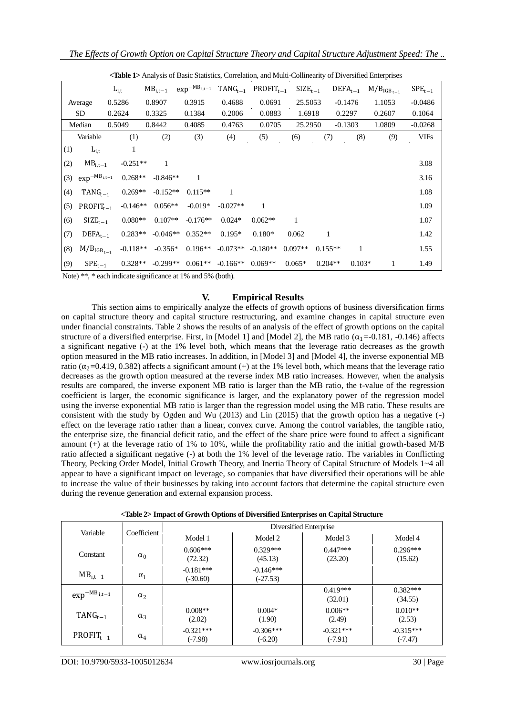|     |                              | $L_{i,t}$ |            | $MB_{i,t-1}$ | $\exp^{-MB_{i,t-1}}$ | $TANG_{t-1}$ | $PROFIT_{t-1}$ | $SIZE_{t-1}$ |           | $DEFA_{t-1}$ | $M/BIGBt-1$ | $SPE_{t-1}$ |
|-----|------------------------------|-----------|------------|--------------|----------------------|--------------|----------------|--------------|-----------|--------------|-------------|-------------|
|     | Average                      | 0.5286    |            | 0.8907       | 0.3915               | 0.4688       | 0.0691         | 25.5053      |           | $-0.1476$    | 1.1053      | $-0.0486$   |
|     | SD                           | 0.2624    |            | 0.3325       | 0.1384               | 0.2006       | 0.0883         | 1.6918       |           | 0.2297       | 0.2607      | 0.1064      |
|     | Median                       | 0.5049    |            | 0.8442       | 0.4085               | 0.4763       | 0.0705         | 25.2950      |           | $-0.1303$    | 1.0809      | $-0.0268$   |
|     | Variable                     |           | (1)        | (2)          | (3)                  | (4)          | (5)            | (6)          | (7)       | (8)          | (9)         | <b>VIFs</b> |
| (1) | $L_{i,t}$                    |           |            |              |                      |              |                |              |           |              |             |             |
| (2) | $\textsf{MB}_{\text{i,t}-1}$ |           | $-0.251**$ | 1            |                      |              |                |              |           |              |             | 3.08        |
| (3) | $\exp^{-MB_{i,t-1}}$         |           | $0.268**$  | $-0.846**$   |                      |              |                |              |           |              |             | 3.16        |
| (4) | $TANG_{t-1}$                 |           | $0.269**$  | $-0.152**$   | $0.115**$            |              |                |              |           |              |             | 1.08        |
| (5) | $PROFIT_{t-1}$               |           | $-0.146**$ | $0.056**$    | $-0.019*$            | $-0.027**$   |                |              |           |              |             | 1.09        |
| (6) | $SIZE_{t-1}$                 |           | $0.080**$  | $0.107**$    | $-0.176**$           | $0.024*$     | $0.062**$      | 1            |           |              |             | 1.07        |
| (7) | $DEFA_{t-1}$                 |           | $0.283**$  | $-0.046**$   | $0.352**$            | $0.195*$     | $0.180*$       | 0.062        | 1         |              |             | 1.42        |
| (8) | $M/BIGBt-1$                  |           | $-0.118**$ | $-0.356*$    | $0.196**$            | $-0.073**$   | $-0.180**$     | $0.097**$    | $0.155**$ | 1            |             | 1.55        |
| (9) | $SPE_{t-1}$                  |           | $0.328**$  | $-0.299**$   | $0.061**$            | $-0.166**$   | $0.069**$      | $0.065*$     | $0.204**$ | $0.103*$     | 1           | 1.49        |

**<Table 1>** Analysis of Basic Statistics, Correlation, and Multi-Collinearity of Diversified Enterprises

Note) \*\*, \* each indicate significance at 1% and 5% (both).

### **V. Empirical Results**

This section aims to empirically analyze the effects of growth options of business diversification firms on capital structure theory and capital structure restructuring, and examine changes in capital structure even under financial constraints. Table 2 shows the results of an analysis of the effect of growth options on the capital structure of a diversified enterprise. First, in [Model 1] and [Model 2], the MB ratio ( $\alpha_1$ =-0.181, -0.146) affects a significant negative (-) at the 1% level both, which means that the leverage ratio decreases as the growth option measured in the MB ratio increases. In addition, in [Model 3] and [Model 4], the inverse exponential MB ratio ( $\alpha_2$ =0.419, 0.382) affects a significant amount (+) at the 1% level both, which means that the leverage ratio decreases as the growth option measured at the reverse index MB ratio increases. However, when the analysis results are compared, the inverse exponent MB ratio is larger than the MB ratio, the t-value of the regression coefficient is larger, the economic significance is larger, and the explanatory power of the regression model using the inverse exponential MB ratio is larger than the regression model using the MB ratio. These results are consistent with the study by Ogden and Wu (2013) and Lin (2015) that the growth option has a negative (-) effect on the leverage ratio rather than a linear, convex curve. Among the control variables, the tangible ratio, the enterprise size, the financial deficit ratio, and the effect of the share price were found to affect a significant amount (+) at the leverage ratio of 1% to 10%, while the profitability ratio and the initial growth-based M/B ratio affected a significant negative (-) at both the 1% level of the leverage ratio. The variables in Conflicting Theory, Pecking Order Model, Initial Growth Theory, and Inertia Theory of Capital Structure of Models 1~4 all appear to have a significant impact on leverage, so companies that have diversified their operations will be able to increase the value of their businesses by taking into account factors that determine the capital structure even during the revenue generation and external expansion process.

|  |  |  | <table 2=""> Impact of Growth Options of Diversified Enterprises on Capital Structure</table> |  |
|--|--|--|-----------------------------------------------------------------------------------------------|--|
|--|--|--|-----------------------------------------------------------------------------------------------|--|

| Variable               | Coefficient | Diversified Enterprise    |                           |                          |                          |  |  |
|------------------------|-------------|---------------------------|---------------------------|--------------------------|--------------------------|--|--|
|                        |             | Model 1                   | Model 2                   | Model 3                  | Model 4                  |  |  |
| Constant<br>$\alpha_0$ |             | $0.606***$<br>(72.32)     | $0.329***$<br>(45.13)     | $0.447***$<br>(23.20)    | $0.296***$<br>(15.62)    |  |  |
| $MB$ <sub>i,t-1</sub>  | $\alpha_1$  | $-0.181***$<br>$(-30.60)$ | $-0.146***$<br>$(-27.53)$ |                          |                          |  |  |
| $\exp^{-MB_{i,t-1}}$   | $\alpha_2$  |                           |                           | $0.419***$<br>(32.01)    | $0.382***$<br>(34.55)    |  |  |
| $TANG_{t-1}$           | $\alpha_3$  | $0.008**$<br>(2.02)       | $0.004*$<br>(1.90)        | $0.006**$<br>(2.49)      | $0.010**$<br>(2.53)      |  |  |
| $PROFIT_{t-1}$         | $\alpha_4$  | $-0.321***$<br>$(-7.98)$  | $-0.306***$<br>$(-6.20)$  | $-0.321***$<br>$(-7.91)$ | $-0.315***$<br>$(-7.47)$ |  |  |

DOI: 10.9790/5933-1005012634 www.iosrjournals.org 30 | Page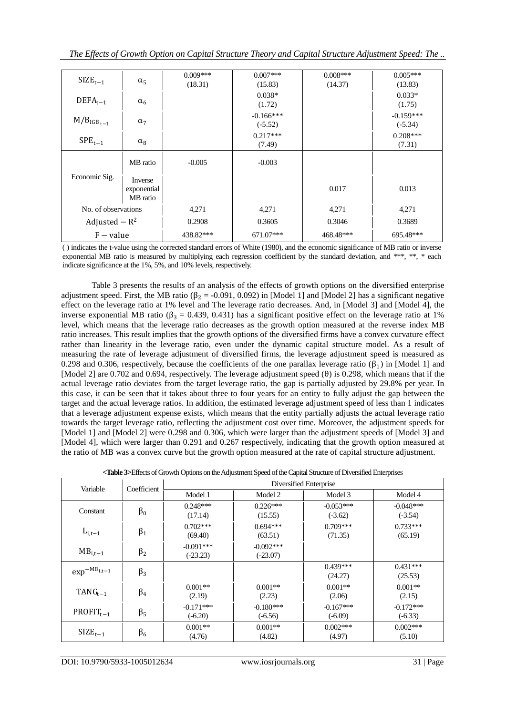| $SIZE_{t-1}$        | $\alpha_{5}$                       | $0.009***$<br>(18.31) | $0.007***$<br>(15.83)    | $0.008***$<br>(14.37) | $0.005***$<br>(13.83)    |
|---------------------|------------------------------------|-----------------------|--------------------------|-----------------------|--------------------------|
| $DEFA_{t-1}$        | $\alpha_6$                         |                       | $0.038*$<br>(1.72)       |                       | $0.033*$<br>(1.75)       |
| $M/BIGB t-1$        | $\alpha_7$                         |                       | $-0.166***$<br>$(-5.52)$ |                       | $-0.159***$<br>$(-5.34)$ |
| $SPE_{t-1}$         | $\alpha_{8}$                       |                       | $0.217***$<br>(7.49)     |                       | $0.208***$<br>(7.31)     |
|                     | MB ratio                           | $-0.005$              | $-0.003$                 |                       |                          |
| Economic Sig.       | Inverse<br>exponential<br>MB ratio |                       |                          | 0.017                 | 0.013                    |
| No. of observations |                                    | 4,271                 | 4,271                    | 4,271                 | 4,271                    |
| Adjusted $-R^2$     |                                    | 0.2908                | 0.3605                   | 0.3046                | 0.3689                   |
| $F - value$         |                                    | 438.82***             | 671.07***                | 468.48***             | 695.48***                |

( ) indicates the t-value using the corrected standard errors of White (1980), and the economic significance of MB ratio or inverse exponential MB ratio is measured by multiplying each regression coefficient by the standard deviation, and \*\*\*, \*\*, \* each indicate significance at the 1%, 5%, and 10% levels, respectively.

Table 3 presents the results of an analysis of the effects of growth options on the diversified enterprise adjustment speed. First, the MB ratio ( $\beta_2$  = -0.091, 0.092) in [Model 1] and [Model 2] has a significant negative effect on the leverage ratio at 1% level and The leverage ratio decreases. And, in [Model 3] and [Model 4], the inverse exponential MB ratio ( $\beta_3 = 0.439, 0.431$ ) has a significant positive effect on the leverage ratio at 1% level, which means that the leverage ratio decreases as the growth option measured at the reverse index MB ratio increases. This result implies that the growth options of the diversified firms have a convex curvature effect rather than linearity in the leverage ratio, even under the dynamic capital structure model. As a result of measuring the rate of leverage adjustment of diversified firms, the leverage adjustment speed is measured as 0.298 and 0.306, respectively, because the coefficients of the one parallax leverage ratio  $(\beta_1)$  in [Model 1] and [Model 2] are 0.702 and 0.694, respectively. The leverage adjustment speed (θ) is 0.298, which means that if the actual leverage ratio deviates from the target leverage ratio, the gap is partially adjusted by 29.8% per year. In this case, it can be seen that it takes about three to four years for an entity to fully adjust the gap between the target and the actual leverage ratios. In addition, the estimated leverage adjustment speed of less than 1 indicates that a leverage adjustment expense exists, which means that the entity partially adjusts the actual leverage ratio towards the target leverage ratio, reflecting the adjustment cost over time. Moreover, the adjustment speeds for [Model 1] and [Model 2] were 0.298 and 0.306, which were larger than the adjustment speeds of [Model 3] and [Model 4], which were larger than 0.291 and 0.267 respectively, indicating that the growth option measured at the ratio of MB was a convex curve but the growth option measured at the rate of capital structure adjustment.

| Variable             | Coefficient | Diversified Enterprise    |                           |                          |                          |  |  |
|----------------------|-------------|---------------------------|---------------------------|--------------------------|--------------------------|--|--|
|                      |             | Model 1                   | Model 2                   | Model 3                  | Model 4                  |  |  |
| Constant             | $\beta_0$   | $0.248***$<br>(17.14)     | $0.226***$<br>(15.55)     | $-0.053***$<br>$(-3.62)$ | $-0.048***$<br>$(-3.54)$ |  |  |
| $L_{i,t-1}$          | $\beta_1$   | $0.702***$<br>(69.40)     | $0.694***$<br>(63.51)     | $0.709***$<br>(71.35)    | $0.733***$<br>(65.19)    |  |  |
| $MB_{i,t-1}$         | $\beta_2$   | $-0.091***$<br>$(-23.23)$ | $-0.092***$<br>$(-23.07)$ |                          |                          |  |  |
| $\exp^{-MB_{i,t-1}}$ | $\beta_3$   |                           |                           | $0.439***$<br>(24.27)    | $0.431***$<br>(25.53)    |  |  |
| $TANG_{t-1}$         | $\beta_4$   | $0.001**$<br>(2.19)       | $0.001**$<br>(2.23)       | $0.001**$<br>(2.06)      | $0.001**$<br>(2.15)      |  |  |
| $PROFIT_{t-1}$       | $\beta_5$   | $-0.171***$<br>$(-6.20)$  | $-0.180***$<br>$(-6.56)$  | $-0.167***$<br>$(-6.09)$ | $-0.172***$<br>$(-6.33)$ |  |  |
| $SIZE_{t-1}$         | $\beta_6$   | $0.001**$<br>(4.76)       | $0.001**$<br>(4.82)       | $0.002***$<br>(4.97)     | $0.002***$<br>(5.10)     |  |  |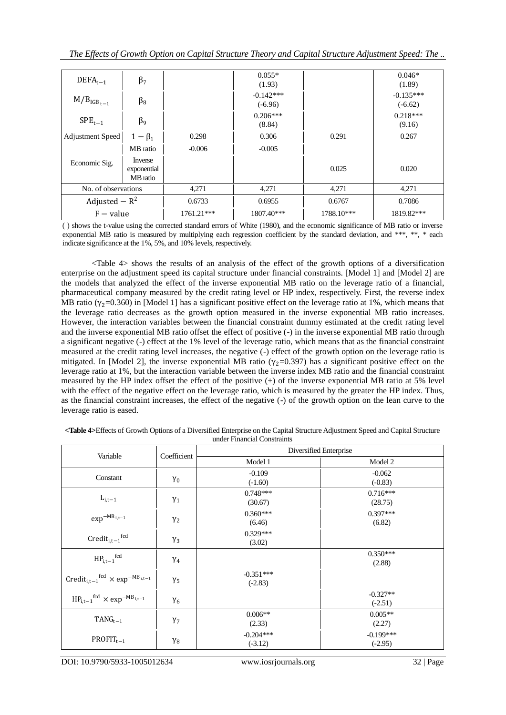| $DEFA_{t-1}$            | $\beta_7$                          |              | $0.055*$<br>(1.93)       |            | $0.046*$<br>(1.89)       |
|-------------------------|------------------------------------|--------------|--------------------------|------------|--------------------------|
| $M/BIGBt-1$             | $\beta_8$                          |              | $-0.142***$<br>$(-6.96)$ |            | $-0.135***$<br>$(-6.62)$ |
| $SPE_{t-1}$             | $\beta_9$                          |              | $0.206***$<br>(8.84)     |            | $0.218***$<br>(9.16)     |
| <b>Adjustment Speed</b> | $1-\beta_1$                        | 0.298        | 0.306                    | 0.291      | 0.267                    |
|                         | MB ratio                           | $-0.006$     | $-0.005$                 |            |                          |
| Economic Sig.           | Inverse<br>exponential<br>MB ratio |              |                          | 0.025      | 0.020                    |
| No. of observations     |                                    | 4,271        | 4,271                    | 4,271      | 4,271                    |
| Adjusted $-R^2$         |                                    | 0.6733       | 0.6955                   | 0.6767     | 0.7086                   |
| $F - value$             |                                    | $1761.21***$ | 1807.40***               | 1788.10*** | 1819.82***               |

( ) shows the t-value using the corrected standard errors of White (1980), and the economic significance of MB ratio or inverse exponential MB ratio is measured by multiplying each regression coefficient by the standard deviation, and \*\*\*, \*\*, \* each indicate significance at the 1%, 5%, and 10% levels, respectively.

<Table 4> shows the results of an analysis of the effect of the growth options of a diversification enterprise on the adjustment speed its capital structure under financial constraints. [Model 1] and [Model 2] are the models that analyzed the effect of the inverse exponential MB ratio on the leverage ratio of a financial, pharmaceutical company measured by the credit rating level or HP index, respectively. First, the reverse index MB ratio ( $\gamma$ <sub>2</sub>=0.360) in [Model 1] has a significant positive effect on the leverage ratio at 1%, which means that the leverage ratio decreases as the growth option measured in the inverse exponential MB ratio increases. However, the interaction variables between the financial constraint dummy estimated at the credit rating level and the inverse exponential MB ratio offset the effect of positive (-) in the inverse exponential MB ratio through a significant negative (-) effect at the 1% level of the leverage ratio, which means that as the financial constraint measured at the credit rating level increases, the negative (-) effect of the growth option on the leverage ratio is mitigated. In [Model 2], the inverse exponential MB ratio ( $\gamma_2$ =0.397) has a significant positive effect on the leverage ratio at 1%, but the interaction variable between the inverse index MB ratio and the financial constraint measured by the HP index offset the effect of the positive (+) of the inverse exponential MB ratio at 5% level with the effect of the negative effect on the leverage ratio, which is measured by the greater the HP index. Thus, as the financial constraint increases, the effect of the negative (-) of the growth option on the lean curve to the leverage ratio is eased.

|                                                                                     |             |                          | Diversified Enterprise   |  |  |  |
|-------------------------------------------------------------------------------------|-------------|--------------------------|--------------------------|--|--|--|
| Variable                                                                            | Coefficient | Model 1                  | Model 2                  |  |  |  |
| Constant                                                                            | $\gamma_0$  | $-0.109$<br>$(-1.60)$    | $-0.062$<br>$(-0.83)$    |  |  |  |
| $L_{i,t-1}$                                                                         | $\gamma_1$  | $0.748***$<br>(30.67)    | $0.716***$<br>(28.75)    |  |  |  |
| $\exp^{-MB_{i,t-1}}$                                                                | $\gamma_2$  | $0.360***$<br>(6.46)     | $0.397***$<br>(6.82)     |  |  |  |
| $Credit_{i,t-1}^{fcd}$                                                              | $\gamma_3$  | $0.329***$<br>(3.02)     |                          |  |  |  |
| $\mathsf{HP}_{i,t-1}{}^{\text{fcd}}$                                                | $\gamma_4$  |                          | $0.350***$<br>(2.88)     |  |  |  |
| Credit <sub>i.t-1</sub> <sup>fcd</sup> $\times$ exp <sup>-MB</sup> <sub>i,t-1</sub> | $\gamma_5$  | $-0.351***$<br>$(-2.83)$ |                          |  |  |  |
| $HP_{i,t-1}$ <sup>fcd</sup> $\times$ exp <sup>-MB</sup> <sub>i,t-1</sub>            | $\gamma_6$  |                          | $-0.327**$<br>$(-2.51)$  |  |  |  |
| $TANG_{t-1}$                                                                        | $Y_7$       | $0.006**$<br>(2.33)      | $0.005**$<br>(2.27)      |  |  |  |
| $PROFIT_{t-1}$                                                                      | $\gamma_8$  | $-0.204***$<br>$(-3.12)$ | $-0.199***$<br>$(-2.95)$ |  |  |  |

**<Table 4>**Effects of Growth Options of a Diversified Enterprise on the Capital Structure Adjustment Speed and Capital Structure under Financial Constraints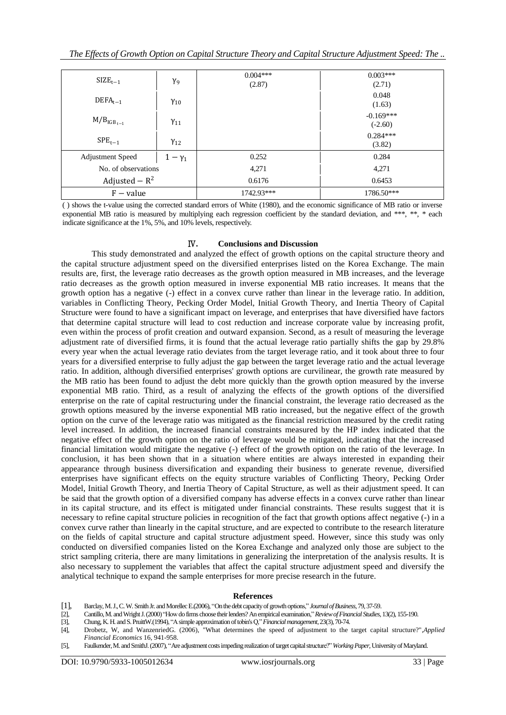| $SIZE_{t-1}$                            | $\gamma_{9}$ | $0.004***$<br>(2.87) | $0.003***$<br>(2.71)     |
|-----------------------------------------|--------------|----------------------|--------------------------|
| $DEFA_{t-1}$<br>$Y_{10}$                |              |                      | 0.048<br>(1.63)          |
| $M/BIGB t-1$<br>$\gamma_{11}$           |              |                      | $-0.169***$<br>$(-2.60)$ |
| $SPE_{t-1}$                             | $Y_{12}$     |                      | $0.284***$<br>(3.82)     |
| <b>Adjustment Speed</b><br>$1-\gamma_1$ |              | 0.252                | 0.284                    |
| No. of observations                     |              | 4,271                | 4,271                    |
| Adjusted $- R^2$                        |              | 0.6176               | 0.6453                   |
| $F - value$                             |              | 1742.93***           | 1786.50***               |

( ) shows the t-value using the corrected standard errors of White (1980), and the economic significance of MB ratio or inverse exponential MB ratio is measured by multiplying each regression coefficient by the standard deviation, and \*\*\*, \*\*, \* each indicate significance at the 1%, 5%, and 10% levels, respectively.

### Ⅳ**. Conclusions and Discussion**

This study demonstrated and analyzed the effect of growth options on the capital structure theory and the capital structure adjustment speed on the diversified enterprises listed on the Korea Exchange. The main results are, first, the leverage ratio decreases as the growth option measured in MB increases, and the leverage ratio decreases as the growth option measured in inverse exponential MB ratio increases. It means that the growth option has a negative (-) effect in a convex curve rather than linear in the leverage ratio. In addition, variables in Conflicting Theory, Pecking Order Model, Initial Growth Theory, and Inertia Theory of Capital Structure were found to have a significant impact on leverage, and enterprises that have diversified have factors that determine capital structure will lead to cost reduction and increase corporate value by increasing profit, even within the process of profit creation and outward expansion. Second, as a result of measuring the leverage adjustment rate of diversified firms, it is found that the actual leverage ratio partially shifts the gap by 29.8% every year when the actual leverage ratio deviates from the target leverage ratio, and it took about three to four years for a diversified enterprise to fully adjust the gap between the target leverage ratio and the actual leverage ratio. In addition, although diversified enterprises' growth options are curvilinear, the growth rate measured by the MB ratio has been found to adjust the debt more quickly than the growth option measured by the inverse exponential MB ratio. Third, as a result of analyzing the effects of the growth options of the diversified enterprise on the rate of capital restructuring under the financial constraint, the leverage ratio decreased as the growth options measured by the inverse exponential MB ratio increased, but the negative effect of the growth option on the curve of the leverage ratio was mitigated as the financial restriction measured by the credit rating level increased. In addition, the increased financial constraints measured by the HP index indicated that the negative effect of the growth option on the ratio of leverage would be mitigated, indicating that the increased financial limitation would mitigate the negative (-) effect of the growth option on the ratio of the leverage. In conclusion, it has been shown that in a situation where entities are always interested in expanding their appearance through business diversification and expanding their business to generate revenue, diversified enterprises have significant effects on the equity structure variables of Conflicting Theory, Pecking Order Model, Initial Growth Theory, and Inertia Theory of Capital Structure, as well as their adjustment speed. It can be said that the growth option of a diversified company has adverse effects in a convex curve rather than linear in its capital structure, and its effect is mitigated under financial constraints. These results suggest that it is necessary to refine capital structure policies in recognition of the fact that growth options affect negative (-) in a convex curve rather than linearly in the capital structure, and are expected to contribute to the research literature on the fields of capital structure and capital structure adjustment speed. However, since this study was only conducted on diversified companies listed on the Korea Exchange and analyzed only those are subject to the strict sampling criteria, there are many limitations in generalizing the interpretation of the analysis results. It is also necessary to supplement the variables that affect the capital structure adjustment speed and diversify the analytical technique to expand the sample enterprises for more precise research in the future.

#### **References**

- [1], Barclay, M. J., C. W. Smith Jr. and MorellecE.(2006), "On the debt capacity of growth options," *Journal of Business*, 79, 37-59.
- [2], Cantillo, M. and WrightJ. (2000) "How do firms choose their lenders? An empirical examination," *Review of Financial Studies*, 13(2), 155-190.
- [3], Chung, K. H. and S. PruittW.(1994), "A simple approximation of tobin's Q," *Financial management*, 23(3), 70-74.
- [4], Drobetz, W, and WanzenriedG. (2006), "What determines the speed of adjustment to the target capital structure?",*Applied Financial Economics* 16, 941-958.
- [5], Faulkender, M. and SmithJ. (2007), "Are adjustment costs impeding realization of target capital structure?" *Working Paper*, University of Maryland.